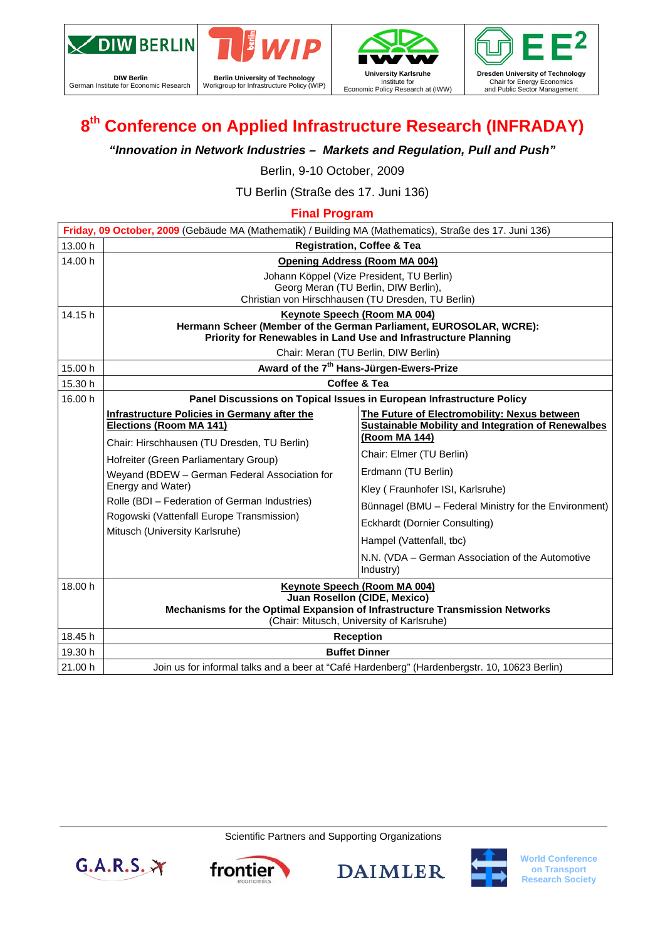

**DIW Berlin**  German Institute for Economic Research







# **8th Conference on Applied Infrastructure Research (INFRADAY)**

*"Innovation in Network Industries – Markets and Regulation, Pull and Push"* 

Berlin, 9-10 October, 2009

TU Berlin (Straße des 17. Juni 136)

## **Final Program**

| Friday, 09 October, 2009 (Gebäude MA (Mathematik) / Building MA (Mathematics), Straße des 17. Juni 136) |                                                                                                                                                                                                                                                                                                                                                                              |                                                                                                                                              |  |  |  |
|---------------------------------------------------------------------------------------------------------|------------------------------------------------------------------------------------------------------------------------------------------------------------------------------------------------------------------------------------------------------------------------------------------------------------------------------------------------------------------------------|----------------------------------------------------------------------------------------------------------------------------------------------|--|--|--|
| 13.00 h                                                                                                 | <b>Registration, Coffee &amp; Tea</b>                                                                                                                                                                                                                                                                                                                                        |                                                                                                                                              |  |  |  |
| 14.00 h                                                                                                 | <b>Opening Address (Room MA 004)</b>                                                                                                                                                                                                                                                                                                                                         |                                                                                                                                              |  |  |  |
|                                                                                                         | Johann Köppel (Vize President, TU Berlin)                                                                                                                                                                                                                                                                                                                                    |                                                                                                                                              |  |  |  |
|                                                                                                         | Georg Meran (TU Berlin, DIW Berlin),<br>Christian von Hirschhausen (TU Dresden, TU Berlin)                                                                                                                                                                                                                                                                                   |                                                                                                                                              |  |  |  |
| 14.15 h                                                                                                 | Keynote Speech (Room MA 004)                                                                                                                                                                                                                                                                                                                                                 |                                                                                                                                              |  |  |  |
|                                                                                                         | Hermann Scheer (Member of the German Parliament, EUROSOLAR, WCRE):                                                                                                                                                                                                                                                                                                           |                                                                                                                                              |  |  |  |
|                                                                                                         | Priority for Renewables in Land Use and Infrastructure Planning                                                                                                                                                                                                                                                                                                              |                                                                                                                                              |  |  |  |
|                                                                                                         | Chair: Meran (TU Berlin, DIW Berlin)                                                                                                                                                                                                                                                                                                                                         |                                                                                                                                              |  |  |  |
| 15.00 h                                                                                                 | Award of the 7 <sup>th</sup> Hans-Jürgen-Ewers-Prize                                                                                                                                                                                                                                                                                                                         |                                                                                                                                              |  |  |  |
| 15.30 h                                                                                                 | Coffee & Tea                                                                                                                                                                                                                                                                                                                                                                 |                                                                                                                                              |  |  |  |
| 16.00 h                                                                                                 | Panel Discussions on Topical Issues in European Infrastructure Policy                                                                                                                                                                                                                                                                                                        |                                                                                                                                              |  |  |  |
|                                                                                                         | <b>Infrastructure Policies in Germany after the</b><br>Elections (Room MA 141)<br>Chair: Hirschhausen (TU Dresden, TU Berlin)<br>Hofreiter (Green Parliamentary Group)<br>Weyand (BDEW - German Federal Association for<br>Energy and Water)<br>Rolle (BDI - Federation of German Industries)<br>Rogowski (Vattenfall Europe Transmission)<br>Mitusch (University Karlsruhe) | The Future of Electromobility: Nexus between                                                                                                 |  |  |  |
|                                                                                                         |                                                                                                                                                                                                                                                                                                                                                                              | <b>Sustainable Mobility and Integration of Renewalbes</b><br>(Room MA 144)                                                                   |  |  |  |
|                                                                                                         |                                                                                                                                                                                                                                                                                                                                                                              |                                                                                                                                              |  |  |  |
|                                                                                                         |                                                                                                                                                                                                                                                                                                                                                                              | Chair: Elmer (TU Berlin)<br>Erdmann (TU Berlin)<br>Kley (Fraunhofer ISI, Karlsruhe)<br>Bünnagel (BMU – Federal Ministry for the Environment) |  |  |  |
|                                                                                                         |                                                                                                                                                                                                                                                                                                                                                                              |                                                                                                                                              |  |  |  |
|                                                                                                         |                                                                                                                                                                                                                                                                                                                                                                              |                                                                                                                                              |  |  |  |
|                                                                                                         |                                                                                                                                                                                                                                                                                                                                                                              |                                                                                                                                              |  |  |  |
|                                                                                                         |                                                                                                                                                                                                                                                                                                                                                                              | Eckhardt (Dornier Consulting)                                                                                                                |  |  |  |
|                                                                                                         |                                                                                                                                                                                                                                                                                                                                                                              | Hampel (Vattenfall, tbc)                                                                                                                     |  |  |  |
|                                                                                                         |                                                                                                                                                                                                                                                                                                                                                                              | N.N. (VDA – German Association of the Automotive                                                                                             |  |  |  |
|                                                                                                         |                                                                                                                                                                                                                                                                                                                                                                              | Industry)                                                                                                                                    |  |  |  |
| 18.00 h                                                                                                 | Keynote Speech (Room MA 004)                                                                                                                                                                                                                                                                                                                                                 |                                                                                                                                              |  |  |  |
|                                                                                                         | Juan Rosellon (CIDE, Mexico)                                                                                                                                                                                                                                                                                                                                                 |                                                                                                                                              |  |  |  |
|                                                                                                         | Mechanisms for the Optimal Expansion of Infrastructure Transmission Networks<br>(Chair: Mitusch, University of Karlsruhe)                                                                                                                                                                                                                                                    |                                                                                                                                              |  |  |  |
| 18.45 h                                                                                                 | <b>Reception</b>                                                                                                                                                                                                                                                                                                                                                             |                                                                                                                                              |  |  |  |
| 19.30 h                                                                                                 | <b>Buffet Dinner</b>                                                                                                                                                                                                                                                                                                                                                         |                                                                                                                                              |  |  |  |
| 21.00 h                                                                                                 | Join us for informal talks and a beer at "Café Hardenberg" (Hardenbergstr. 10, 10623 Berlin)                                                                                                                                                                                                                                                                                 |                                                                                                                                              |  |  |  |

Scientific Partners and Supporting Organizations





**DAIMLER** 



**World Conference on Transport Research Society**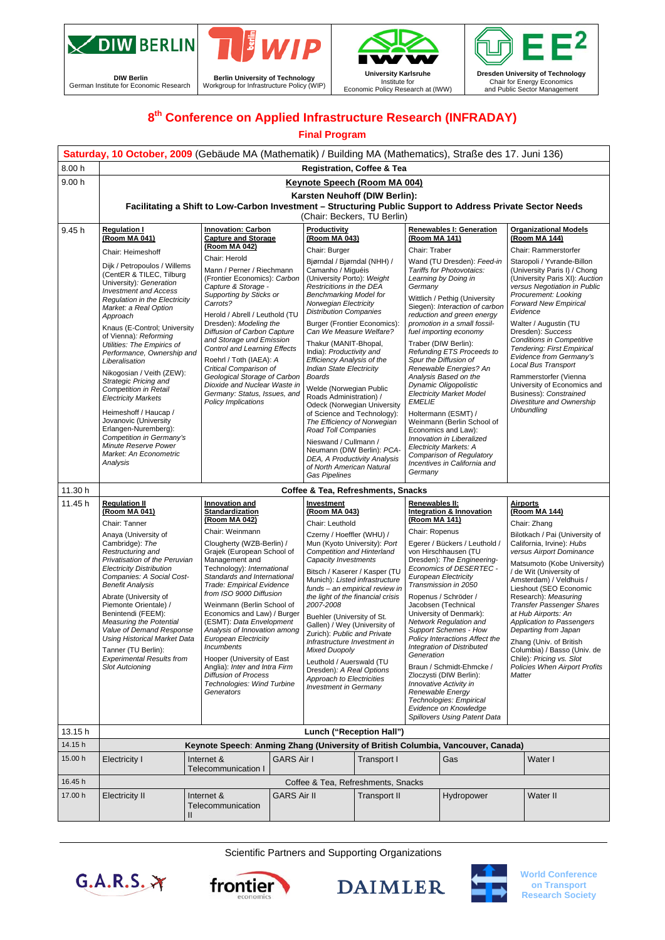

**DIW Berlin**  German Institute for Economic Research





Economic Policy Research at (IWW)



## **8th Conference on Applied Infrastructure Research (INFRADAY)**

#### **Final Program**

|                    | Saturday, 10 October, 2009 (Gebäude MA (Mathematik) / Building MA (Mathematics), Straße des 17. Juni 136)                                                                                                                                                                                                                                                                                                                                                                                                                                                                                                                                                                             |                                                                                                                                                                                                                                                                                                                                                                                                                                                                                                                                                                                                       |                   |                                                                                                                                                                                                                                                                                                                                                                                                                                                                                                                                                                                                                                                                                                                                                                                        |             |                                                                                                                                                                                                                                                                                                                                                                                                                                                                                                                                                                                                                                                                              |                                                                                                                                                                                                                                                                                                                                                                                                                                                                                                                                                                                                                                                                    |          |                                                                                                                                                                                                                                                                                                                                                                                                                                                                                                                                                                                 |
|--------------------|---------------------------------------------------------------------------------------------------------------------------------------------------------------------------------------------------------------------------------------------------------------------------------------------------------------------------------------------------------------------------------------------------------------------------------------------------------------------------------------------------------------------------------------------------------------------------------------------------------------------------------------------------------------------------------------|-------------------------------------------------------------------------------------------------------------------------------------------------------------------------------------------------------------------------------------------------------------------------------------------------------------------------------------------------------------------------------------------------------------------------------------------------------------------------------------------------------------------------------------------------------------------------------------------------------|-------------------|----------------------------------------------------------------------------------------------------------------------------------------------------------------------------------------------------------------------------------------------------------------------------------------------------------------------------------------------------------------------------------------------------------------------------------------------------------------------------------------------------------------------------------------------------------------------------------------------------------------------------------------------------------------------------------------------------------------------------------------------------------------------------------------|-------------|------------------------------------------------------------------------------------------------------------------------------------------------------------------------------------------------------------------------------------------------------------------------------------------------------------------------------------------------------------------------------------------------------------------------------------------------------------------------------------------------------------------------------------------------------------------------------------------------------------------------------------------------------------------------------|--------------------------------------------------------------------------------------------------------------------------------------------------------------------------------------------------------------------------------------------------------------------------------------------------------------------------------------------------------------------------------------------------------------------------------------------------------------------------------------------------------------------------------------------------------------------------------------------------------------------------------------------------------------------|----------|---------------------------------------------------------------------------------------------------------------------------------------------------------------------------------------------------------------------------------------------------------------------------------------------------------------------------------------------------------------------------------------------------------------------------------------------------------------------------------------------------------------------------------------------------------------------------------|
| 8.00 h             |                                                                                                                                                                                                                                                                                                                                                                                                                                                                                                                                                                                                                                                                                       |                                                                                                                                                                                                                                                                                                                                                                                                                                                                                                                                                                                                       |                   | <b>Registration, Coffee &amp; Tea</b>                                                                                                                                                                                                                                                                                                                                                                                                                                                                                                                                                                                                                                                                                                                                                  |             |                                                                                                                                                                                                                                                                                                                                                                                                                                                                                                                                                                                                                                                                              |                                                                                                                                                                                                                                                                                                                                                                                                                                                                                                                                                                                                                                                                    |          |                                                                                                                                                                                                                                                                                                                                                                                                                                                                                                                                                                                 |
| 9.00h              | Keynote Speech (Room MA 004)<br>Karsten Neuhoff (DIW Berlin):<br>Facilitating a Shift to Low-Carbon Investment - Structuring Public Support to Address Private Sector Needs<br>(Chair: Beckers, TU Berlin)                                                                                                                                                                                                                                                                                                                                                                                                                                                                            |                                                                                                                                                                                                                                                                                                                                                                                                                                                                                                                                                                                                       |                   |                                                                                                                                                                                                                                                                                                                                                                                                                                                                                                                                                                                                                                                                                                                                                                                        |             |                                                                                                                                                                                                                                                                                                                                                                                                                                                                                                                                                                                                                                                                              |                                                                                                                                                                                                                                                                                                                                                                                                                                                                                                                                                                                                                                                                    |          |                                                                                                                                                                                                                                                                                                                                                                                                                                                                                                                                                                                 |
| 9.45 h             | <b>Regulation I</b><br>(Room MA 041)<br>Chair: Heimeshoff<br>Dijk / Petropoulos / Willems<br>(CentER & TILEC, Tilburg<br>University): Generation<br><b>Investment and Access</b><br>Regulation in the Electricity<br>Market: a Real Option<br>Approach<br>Knaus (E-Control; University<br>of Vienna): Reforming<br>Utilities: The Empirics of<br>Performance, Ownership and<br>Liberalisation<br>Nikogosian / Veith (ZEW):<br>Strategic Pricing and<br><b>Competition in Retail</b><br><b>Electricity Markets</b><br>Heimeshoff / Haucap /<br>Jovanovic (University<br>Erlangen-Nuremberg):<br>Competition in Germany's<br>Minute Reserve Power<br>Market: An Econometric<br>Analysis | <b>Innovation: Carbon</b><br><b>Capture and Storage</b><br>(Room MA 042)<br>Chair: Herold<br>Mann / Perner / Riechmann<br>(Frontier Economics): Carbon<br>Capture & Storage -<br>Supporting by Sticks or<br>Carrots?<br>Herold / Abrell / Leuthold (TU<br>Dresden): Modeling the<br>Diffusion of Carbon Capture<br>and Storage und Emission<br><b>Control and Learning Effects</b><br>Roehrl / Toth (IAEA): A<br>Critical Comparison of<br>Geological Storage of Carbon<br>Dioxide and Nuclear Waste in<br>Germany: Status, Issues, and<br><b>Policy Implications</b>                                 |                   | Productivity<br>(Room MA 043)<br>Chair: Burger<br>Bjørndal / Bjørndal (NHH) /<br>Camanho / Miguéis<br>(University Porto): Weight<br>Restricitions in the DEA<br><b>Benchmarking Model for</b><br>Norwegian Electricity<br><b>Distribution Companies</b><br>Burger (Frontier Economics):<br>Can We Measure Welfare?<br>Thakur (MANIT-Bhopal,<br>India): Productivity and<br><b>Efficiency Analysis of the</b><br><b>Indian State Electricity</b><br><b>Boards</b><br>Welde (Norwegian Public<br>Roads Administration) /<br>Odeck (Norwegian University<br>of Science and Technology):<br>The Efficiency of Norwegian<br>Road Toll Companies<br>Nieswand / Cullmann /<br>Neumann (DIW Berlin): PCA-<br>DEA, A Productivity Analysis<br>of North American Natural<br><b>Gas Pipelines</b> |             | (Room MA 141)<br>Chair: Traber<br>Germany<br><b>EMELIE</b><br>Germany                                                                                                                                                                                                                                                                                                                                                                                                                                                                                                                                                                                                        | Renewables I: Generation<br>Wand (TU Dresden): Feed-in<br>Tariffs for Photovotaics:<br>Learning by Doing in<br>Wittlich / Pethig (University<br>Siegen): Interaction of carbon<br>reduction and green energy<br>promotion in a small fossil-<br>fuel importing economy<br>Traber (DIW Berlin):<br>Refunding ETS Proceeds to<br>Spur the Diffusion of<br>Renewable Energies? An<br>Analysis Based on the<br>Dynamic Oligopolistic<br><b>Electricity Market Model</b><br>Holtermann (ESMT) /<br>Weinmann (Berlin School of<br>Economics and Law):<br>Innovation in Liberalized<br>Electricity Markets: A<br>Comparison of Regulatory<br>Incentives in California and |          | <b>Organizational Models</b><br>(Room MA 144)<br>Chair: Rammerstorfer<br>Staropoli / Yvrande-Billon<br>(University Paris I) / Chong<br>(University Paris XI): Auction<br>versus Negotiation in Public<br>Procurement: Looking<br><b>Forward New Empirical</b><br>Evidence<br>Walter / Augustin (TU<br>Dresden): Success<br><b>Conditions in Competitive</b><br><b>Tendering: First Empirical</b><br>Evidence from Germany's<br>Local Bus Transport<br>Rammerstorfer (Vienna<br>University of Economics and<br>Business): Constrained<br>Divestiture and Ownership<br>Unbundling |
| 11.30 h            |                                                                                                                                                                                                                                                                                                                                                                                                                                                                                                                                                                                                                                                                                       |                                                                                                                                                                                                                                                                                                                                                                                                                                                                                                                                                                                                       |                   | Coffee & Tea, Refreshments, Snacks                                                                                                                                                                                                                                                                                                                                                                                                                                                                                                                                                                                                                                                                                                                                                     |             |                                                                                                                                                                                                                                                                                                                                                                                                                                                                                                                                                                                                                                                                              |                                                                                                                                                                                                                                                                                                                                                                                                                                                                                                                                                                                                                                                                    |          |                                                                                                                                                                                                                                                                                                                                                                                                                                                                                                                                                                                 |
| 11.45 h            | <b>Regulation II</b><br>(Room MA 041)<br>Chair: Tanner<br>Anaya (University of<br>Cambridge): The<br>Restructuring and<br>Privatisation of the Peruvian<br><b>Electricity Distribution</b><br>Companies: A Social Cost-<br><b>Benefit Analysis</b><br>Abrate (University of<br>Piemonte Orientale) /<br>Benintendi (FEEM):<br><b>Measuring the Potential</b><br>Value of Demand Response<br>Using Historical Market Data<br>Tanner (TU Berlin):<br><b>Experimental Results from</b><br><b>Slot Autcioning</b>                                                                                                                                                                         | Innovation and<br><b>Standardization</b><br>(Room MA 042)<br>Chair: Weinmann<br>Clougherty (WZB-Berlin) /<br>Grajek (European School of<br>Management and<br>Technology): International<br>Standards and International<br><b>Trade: Empirical Evidence</b><br>from ISO 9000 Diffusion<br>Weinmann (Berlin School of<br>Economics and Law) / Burger<br>(ESMT): Data Envelopment<br>Analysis of Innovation among<br><b>European Electricity</b><br>Incumbents<br>Hooper (University of East<br>Anglia): Inter and Intra Firm<br><b>Diffusion of Process</b><br>Technologies: Wind Turbine<br>Generators |                   | Investment<br>(Room MA 043)<br>Chair: Leuthold<br>Czerny / Hoeffler (WHU) /<br>Mun (Kyoto University): Port<br><b>Competition and Hinterland</b><br>Capacity Investments<br>Bitsch / Kaserer / Kasper (TU<br>Munich): Listed infrastructure<br>funds - an empirical review in<br>the light of the financial crisis<br>2007-2008<br>Buehler (University of St.<br>Gallen) / Wey (University of<br>Zurich): Public and Private<br>Infrastructure Investment in<br>Mixed Duopoly<br>Leuthold / Auerswald (TU<br>Dresden): A Real Options<br>Approach to Electricities<br><b>Investment in Germany</b>                                                                                                                                                                                     |             | Renewables II:<br><b>Integration &amp; Innovation</b><br>(Room MA 141)<br>Chair: Ropenus<br>Egerer / Bückers / Leuthold /<br>von Hirschhausen (TU<br>Dresden): The Engineering-<br>Economics of DESERTEC -<br><b>European Electricity</b><br>Transmission in 2050<br>Ropenus / Schröder /<br>Jacobsen (Technical<br>University of Denmark):<br>Network Regulation and<br><b>Support Schemes - How</b><br>Policy Interactions Affect the<br>Integration of Distributed<br>Generation<br>Braun / Schmidt-Ehmcke /<br>Zloczysti (DIW Berlin):<br>Innovative Activity in<br>Renewable Energy<br>Technologies: Empirical<br>Evidence on Knowledge<br>Spillovers Using Patent Data |                                                                                                                                                                                                                                                                                                                                                                                                                                                                                                                                                                                                                                                                    | Matter   | <b>Airports</b><br>(Room MA 144)<br>Chair: Zhang<br>Bilotkach / Pai (University of<br>California, Irvine): Hubs<br>versus Airport Dominance<br>Matsumoto (Kobe University)<br>/ de Wit (University of<br>Amsterdam) / Veldhuis /<br>Lieshout (SEO Economic<br>Research): Measuring<br><b>Transfer Passenger Shares</b><br>at Hub Airports: An<br>Application to Passengers<br>Departing from Japan<br>Zhang (Univ. of British<br>Columbia) / Basso (Univ. de<br>Chile): Pricing vs. Slot<br><b>Policies When Airport Profits</b>                                                |
| 13.15h             | Lunch ("Reception Hall")                                                                                                                                                                                                                                                                                                                                                                                                                                                                                                                                                                                                                                                              |                                                                                                                                                                                                                                                                                                                                                                                                                                                                                                                                                                                                       |                   |                                                                                                                                                                                                                                                                                                                                                                                                                                                                                                                                                                                                                                                                                                                                                                                        |             |                                                                                                                                                                                                                                                                                                                                                                                                                                                                                                                                                                                                                                                                              |                                                                                                                                                                                                                                                                                                                                                                                                                                                                                                                                                                                                                                                                    |          |                                                                                                                                                                                                                                                                                                                                                                                                                                                                                                                                                                                 |
| 14.15h             | Keynote Speech: Anming Zhang (University of British Columbia, Vancouver, Canada)                                                                                                                                                                                                                                                                                                                                                                                                                                                                                                                                                                                                      |                                                                                                                                                                                                                                                                                                                                                                                                                                                                                                                                                                                                       |                   |                                                                                                                                                                                                                                                                                                                                                                                                                                                                                                                                                                                                                                                                                                                                                                                        |             |                                                                                                                                                                                                                                                                                                                                                                                                                                                                                                                                                                                                                                                                              |                                                                                                                                                                                                                                                                                                                                                                                                                                                                                                                                                                                                                                                                    |          |                                                                                                                                                                                                                                                                                                                                                                                                                                                                                                                                                                                 |
| 15.00 h            | <b>Electricity I</b>                                                                                                                                                                                                                                                                                                                                                                                                                                                                                                                                                                                                                                                                  | Internet &<br><b>Telecommunication I</b>                                                                                                                                                                                                                                                                                                                                                                                                                                                                                                                                                              | <b>GARS Air I</b> |                                                                                                                                                                                                                                                                                                                                                                                                                                                                                                                                                                                                                                                                                                                                                                                        | Transport I | Gas<br>Water I                                                                                                                                                                                                                                                                                                                                                                                                                                                                                                                                                                                                                                                               |                                                                                                                                                                                                                                                                                                                                                                                                                                                                                                                                                                                                                                                                    |          |                                                                                                                                                                                                                                                                                                                                                                                                                                                                                                                                                                                 |
| 16.45 h<br>17.00 h | <b>Electricity II</b><br>Internet &<br><b>GARS Air II</b><br>Telecommunication<br>$\mathbf{I}$                                                                                                                                                                                                                                                                                                                                                                                                                                                                                                                                                                                        |                                                                                                                                                                                                                                                                                                                                                                                                                                                                                                                                                                                                       |                   | Coffee & Tea, Refreshments, Snacks<br><b>Transport II</b>                                                                                                                                                                                                                                                                                                                                                                                                                                                                                                                                                                                                                                                                                                                              |             | Hydropower                                                                                                                                                                                                                                                                                                                                                                                                                                                                                                                                                                                                                                                                   |                                                                                                                                                                                                                                                                                                                                                                                                                                                                                                                                                                                                                                                                    | Water II |                                                                                                                                                                                                                                                                                                                                                                                                                                                                                                                                                                                 |

Scientific Partners and Supporting Organizations





**DAIMLER** 



**World Conference on Transport Research Society**